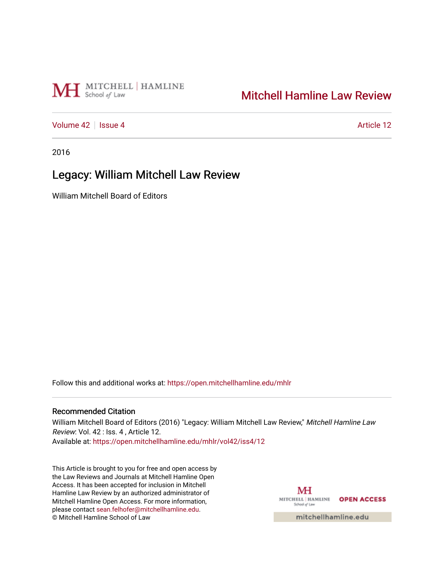# MH School of Law

## [Mitchell Hamline Law Review](https://open.mitchellhamline.edu/mhlr)

[Volume 42](https://open.mitchellhamline.edu/mhlr/vol42) | [Issue 4](https://open.mitchellhamline.edu/mhlr/vol42/iss4) Article 12

2016

## Legacy: William Mitchell Law Review

William Mitchell Board of Editors

Follow this and additional works at: [https://open.mitchellhamline.edu/mhlr](https://open.mitchellhamline.edu/mhlr?utm_source=open.mitchellhamline.edu%2Fmhlr%2Fvol42%2Fiss4%2F12&utm_medium=PDF&utm_campaign=PDFCoverPages) 

#### Recommended Citation

William Mitchell Board of Editors (2016) "Legacy: William Mitchell Law Review," Mitchell Hamline Law Review: Vol. 42 : Iss. 4 , Article 12. Available at: [https://open.mitchellhamline.edu/mhlr/vol42/iss4/12](https://open.mitchellhamline.edu/mhlr/vol42/iss4/12?utm_source=open.mitchellhamline.edu%2Fmhlr%2Fvol42%2Fiss4%2F12&utm_medium=PDF&utm_campaign=PDFCoverPages)

This Article is brought to you for free and open access by the Law Reviews and Journals at Mitchell Hamline Open Access. It has been accepted for inclusion in Mitchell Hamline Law Review by an authorized administrator of Mitchell Hamline Open Access. For more information, please contact [sean.felhofer@mitchellhamline.edu.](mailto:sean.felhofer@mitchellhamline.edu) © Mitchell Hamline School of Law

MH MITCHELL | HAMLINE OPEN ACCESS School of Law

mitchellhamline.edu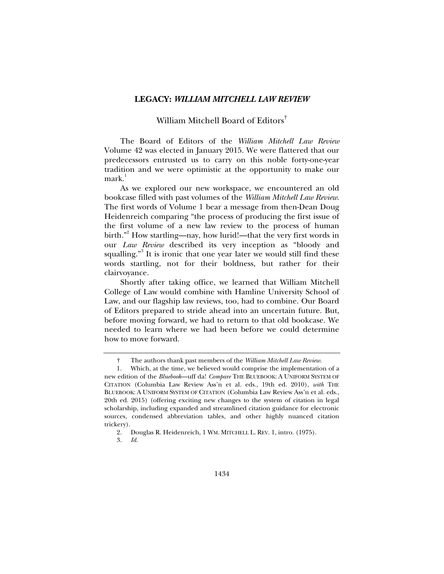#### **LEGACY:** *WILLIAM MITCHELL LAW REVIEW*

### William Mitchell Board of Editors†

The Board of Editors of the *William Mitchell Law Review* Volume 42 was elected in January 2015. We were flattered that our predecessors entrusted us to carry on this noble forty-one-year tradition and we were optimistic at the opportunity to make our mark.<sup>1</sup>

As we explored our new workspace, we encountered an old bookcase filled with past volumes of the *William Mitchell Law Review*. The first words of Volume 1 bear a message from then-Dean Doug Heidenreich comparing "the process of producing the first issue of the first volume of a new law review to the process of human birth."<sup>2</sup> How startling—nay, how lurid!—that the very first words in our *Law Review* described its very inception as "bloody and squalling."<sup>3</sup> It is ironic that one year later we would still find these words startling, not for their boldness, but rather for their clairvoyance.

Shortly after taking office, we learned that William Mitchell College of Law would combine with Hamline University School of Law, and our flagship law reviews, too, had to combine. Our Board of Editors prepared to stride ahead into an uncertain future. But, before moving forward, we had to return to that old bookcase. We needed to learn where we had been before we could determine how to move forward.

 <sup>†</sup> The authors thank past members of the *William Mitchell Law Review*.

 <sup>1.</sup> Which, at the time, we believed would comprise the implementation of a new edition of the *Bluebook*—uff da! *Compare* THE BLUEBOOK: A UNIFORM SYSTEM OF CITATION (Columbia Law Review Ass'n et al. eds., 19th ed. 2010), *with* THE BLUEBOOK: A UNIFORM SYSTEM OF CITATION (Columbia Law Review Ass'n et al. eds., 20th ed. 2015) (offering exciting new changes to the system of citation in legal scholarship, including expanded and streamlined citation guidance for electronic sources, condensed abbreviation tables, and other highly nuanced citation trickery).

 <sup>2.</sup> Douglas R. Heidenreich, 1 WM. MITCHELL L. REV. 1, intro. (1975).

 <sup>3.</sup> *Id.*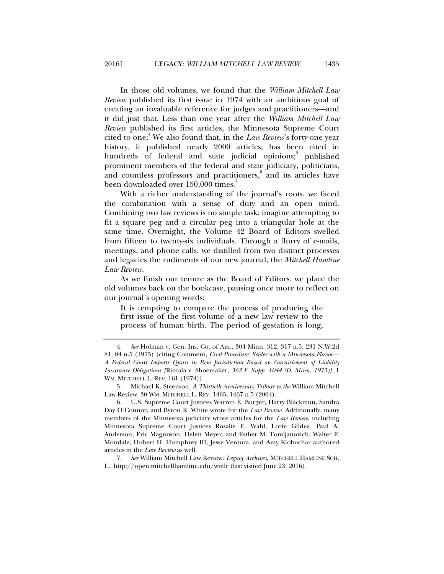In those old volumes, we found that the *William Mitchell Law Review* published its first issue in 1974 with an ambitious goal of creating an invaluable reference for judges and practitioners—and it did just that. Less than one year after the *William Mitchell Law Review* published its first articles, the Minnesota Supreme Court cited to one;<sup>4</sup> We also found that, in the *Law Review*'s forty-one year history, it published nearly 2000 articles, has been cited in hundreds of federal and state judicial opinions;<sup>5</sup> published prominent members of the federal and state judiciary, politicians, and countless professors and practitioners, $6$  and its articles have been downloaded over 150,000 times.

With a richer understanding of the journal's roots, we faced the combination with a sense of duty and an open mind. Combining two law reviews is no simple task: imagine attempting to fit a square peg and a circular peg into a triangular hole at the same time. Overnight, the Volume 42 Board of Editors swelled from fifteen to twenty-six individuals. Through a flurry of e-mails, meetings, and phone calls, we distilled from two distinct processes and legacies the rudiments of our new journal, the *Mitchell Hamline Law Review*.

As we finish our tenure as the Board of Editors, we place the old volumes back on the bookcase, pausing once more to reflect on our journal's opening words:

It is tempting to compare the process of producing the first issue of the first volume of a new law review to the process of human birth. The period of gestation is long,

 7. *See* William Mitchell Law Review*: Legacy Archives*, MITCHELL HAMLINE SCH. L., http://open.mitchellhamline.edu/wmlr (last visited June 23, 2016).

 <sup>4.</sup> *See* Holman v. Gen. Ins. Co. of Am., 304 Minn. 312, 317 n.5, 231 N.W.2d 81, 84 n.5 (1975) (citing Comment, *Civil Procedure: Seider with a Minnesota Flavor— A Federal Court Imports Quasi in Rem Jurisdiction Based on Garnishment of Liability Insurance Obligations [*Rintala v. Shoemaker*, 362 F. Supp. 1044 (D. Minn. 1973)]*, 1 WM. MITCHELL L. REV. 161 (1974)).

 <sup>5.</sup> Michael K. Steenson, *A Thirtieth Anniversary Tribute to the* William Mitchell Law Review, 30 WM. MITCHELL L. REV. 1465, 1467 n.5 (2004).

 <sup>6.</sup> U.S. Supreme Court Justices Warren E. Burger, Harry Blackmun, Sandra Day O'Connor, and Byron R. White wrote for the *Law Review*. Additionally, many members of the Minnesota judiciary wrote articles for the *Law Review*, including Minnesota Supreme Court Justices Rosalie E. Wahl, Lorie Gildea, Paul A. Anderson, Eric Magnuson, Helen Meyer, and Esther M. Tomljanovich. Walter F. Mondale, Hubert H. Humphrey III, Jesse Ventura, and Amy Klobuchar authored articles in the *Law Review* as well.